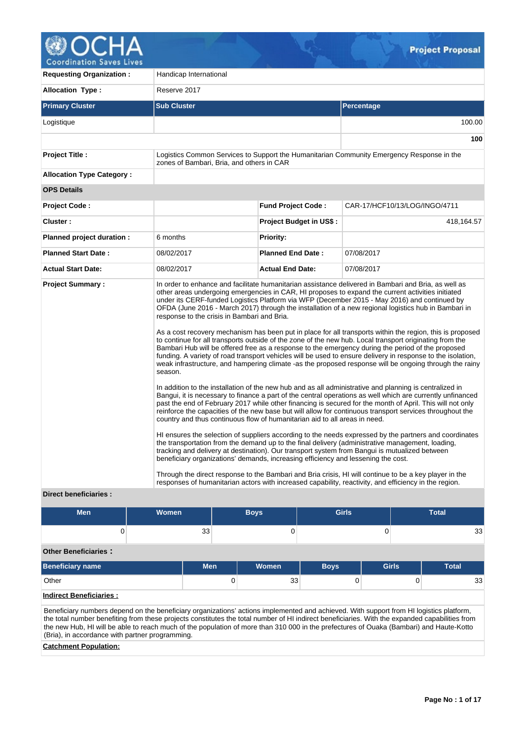

**100**

**Requesting Organization : Handicap International Allocation Type :** Reserve 2017 **Primary Cluster Sub Cluster Sub Cluster** Sub Cluster Sub Cluster Sub Cluster Sub Cluster Sub Cluster Sub Cluster Logistique 100.00 **Project Title :** Logistics Common Services to Support the Humanitarian Community Emergency Response in the zones of Bambari, Bria, and others in CAR **Allocation Type Category : OPS Details Project Code : Fund Project Code :** CAR-17/HCF10/13/LOG/INGO/4711 **Cluster :** 418,164.57 **Project Budget in US\$ :** 418,164.57 **Planned project duration :** 6 months **Planned Priority: Planned Start Date :** 08/02/2017 **Planned End Date :** 07/08/2017 **Actual Start Date:** 08/02/2017 **Actual End Date:** 07/08/2017 **Project Summary :** In order to enhance and facilitate humanitarian assistance delivered in Bambari and Bria, as well as other areas undergoing emergencies in CAR, HI proposes to expand the current activities initiated under its CERF-funded Logistics Platform via WFP (December 2015 - May 2016) and continued by OFDA (June 2016 - March 2017) through the installation of a new regional logistics hub in Bambari in response to the crisis in Bambari and Bria. As a cost recovery mechanism has been put in place for all transports within the region, this is proposed to continue for all transports outside of the zone of the new hub. Local transport originating from the Bambari Hub will be offered free as a response to the emergency during the period of the proposed funding. A variety of road transport vehicles will be used to ensure delivery in response to the isolation, weak infrastructure, and hampering climate -as the proposed response will be ongoing through the rainy

season.

In addition to the installation of the new hub and as all administrative and planning is centralized in Bangui, it is necessary to finance a part of the central operations as well which are currently unfinanced past the end of February 2017 while other financing is secured for the month of April. This will not only reinforce the capacities of the new base but will allow for continuous transport services throughout the country and thus continuous flow of humanitarian aid to all areas in need.

HI ensures the selection of suppliers according to the needs expressed by the partners and coordinates the transportation from the demand up to the final delivery (administrative management, loading, tracking and delivery at destination). Our transport system from Bangui is mutualized between beneficiary organizations' demands, increasing efficiency and lessening the cost.

Through the direct response to the Bambari and Bria crisis, HI will continue to be a key player in the responses of humanitarian actors with increased capability, reactivity, and efficiency in the region.

## **Direct beneficiaries :**

| <b>Men</b>                     | <b>Women</b> |            |   | <b>Boys</b> | <b>Girls</b> |   |              |              |    |
|--------------------------------|--------------|------------|---|-------------|--------------|---|--------------|--------------|----|
|                                |              | 33         |   | 0           |              | 0 |              |              | 33 |
| <b>Other Beneficiaries:</b>    |              |            |   |             |              |   |              |              |    |
| <b>Beneficiary name</b>        |              | <b>Men</b> |   | Women       | <b>Boys</b>  |   | <b>Girls</b> | <b>Total</b> |    |
| Other                          |              |            | 0 | 33          | U            |   |              |              | 33 |
| <b>Indirect Beneficiaries:</b> |              |            |   |             |              |   |              |              |    |

Beneficiary numbers depend on the beneficiary organizations' actions implemented and achieved. With support from HI logistics platform, the total number benefiting from these projects constitutes the total number of HI indirect beneficiaries. With the expanded capabilities from the new Hub, HI will be able to reach much of the population of more than 310 000 in the prefectures of Ouaka (Bambari) and Haute-Kotto (Bria), in accordance with partner programming.

## **Catchment Population:**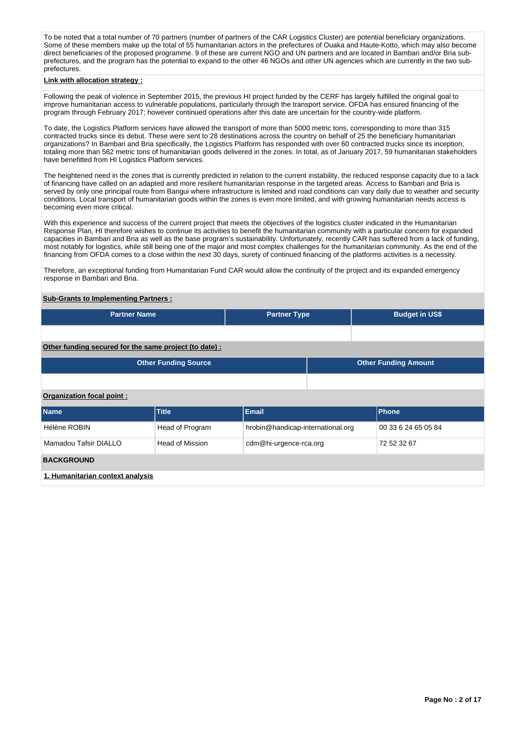To be noted that a total number of 70 partners (number of partners of the CAR Logistics Cluster) are potential beneficiary organizations. Some of these members make up the total of 55 humanitarian actors in the prefectures of Ouaka and Haute-Kotto, which may also become direct beneficiaries of the proposed programme. 9 of these are current NGO and UN partners and are located in Bambari and/or Bria subprefectures, and the program has the potential to expand to the other 46 NGOs and other UN agencies which are currently in the two subprefectures.

## **Link with allocation strategy :**

Following the peak of violence in September 2015, the previous HI project funded by the CERF has largely fulfilled the original goal to improve humanitarian access to vulnerable populations, particularly through the transport service. OFDA has ensured financing of the program through February 2017; however continued operations after this date are uncertain for the country-wide platform.

To date, the Logistics Platform services have allowed the transport of more than 5000 metric tons, corresponding to more than 315 contracted trucks since its debut. These were sent to 28 destinations across the country on behalf of 25 the beneficiary humanitarian organizations? In Bambari and Bria specifically, the Logistics Platform has responded with over 60 contracted trucks since its inception, totaling more than 562 metric tons of humanitarian goods delivered in the zones. In total, as of January 2017, 59 humanitarian stakeholders have benefitted from HI Logistics Platform services.

The heightened need in the zones that is currently predicted in relation to the current instability, the reduced response capacity due to a lack of financing have called on an adapted and more resilient humanitarian response in the targeted areas. Access to Bambari and Bria is served by only one principal route from Bangui where infrastructure is limited and road conditions can vary daily due to weather and security conditions. Local transport of humanitarian goods within the zones is even more limited, and with growing humanitarian needs access is becoming even more critical.

With this experience and success of the current project that meets the objectives of the logistics cluster indicated in the Humanitarian Response Plan, HI therefore wishes to continue its activities to benefit the humanitarian community with a particular concern for expanded capacities in Bambari and Bria as well as the base program's sustainability. Unfortunately, recently CAR has suffered from a lack of funding, most notably for logistics, while still being one of the major and most complex challenges for the humanitarian community. As the end of the financing from OFDA comes to a close within the next 30 days, surety of continued financing of the platforms activities is a necessity.

Therefore, an exceptional funding from Humanitarian Fund CAR would allow the continuity of the project and its expanded emergency response in Bambari and Bria.

## **Sub-Grants to Implementing Partners :**

| <b>Partner Name</b>                                   | <b>Partner Type</b> | <b>Budget in US\$</b>       |
|-------------------------------------------------------|---------------------|-----------------------------|
|                                                       |                     |                             |
| Other funding secured for the same project (to date): |                     |                             |
| <b>Other Funding Source</b>                           |                     | <b>Other Funding Amount</b> |

## **Organization focal point :**

| <b>Name</b>                      | <b>Title</b>    | <b>Email</b>                      | <b>Phone</b>        |
|----------------------------------|-----------------|-----------------------------------|---------------------|
| Hélène ROBIN                     | Head of Program | hrobin@handicap-international.org | 00 33 6 24 65 05 84 |
| Mamadou Tafsir DIALLO            | Head of Mission | cdm@hi-urgence-rca.org            | 72 52 32 67         |
| <b>BACKGROUND</b>                |                 |                                   |                     |
| 1. Humanitarian context analysis |                 |                                   |                     |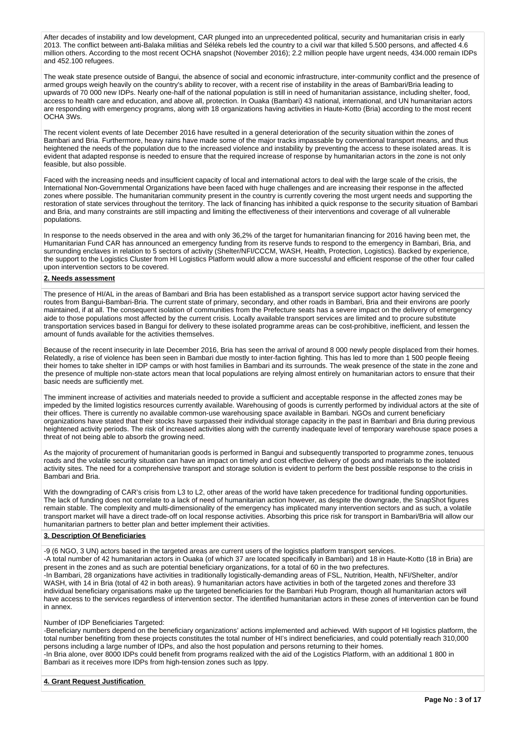After decades of instability and low development, CAR plunged into an unprecedented political, security and humanitarian crisis in early 2013. The conflict between anti-Balaka militias and Séléka rebels led the country to a civil war that killed 5.500 persons, and affected 4.6 million others. According to the most recent OCHA snapshot (November 2016); 2.2 million people have urgent needs, 434.000 remain IDPs and 452.100 refugees.

The weak state presence outside of Bangui, the absence of social and economic infrastructure, inter-community conflict and the presence of armed groups weigh heavily on the country's ability to recover, with a recent rise of instability in the areas of Bambari/Bria leading to upwards of 70 000 new IDPs. Nearly one-half of the national population is still in need of humanitarian assistance, including shelter, food, access to health care and education, and above all, protection. In Ouaka (Bambari) 43 national, international, and UN humanitarian actors are responding with emergency programs, along with 18 organizations having activities in Haute-Kotto (Bria) according to the most recent OCHA 3Ws.

The recent violent events of late December 2016 have resulted in a general deterioration of the security situation within the zones of Bambari and Bria. Furthermore, heavy rains have made some of the major tracks impassable by conventional transport means, and thus heightened the needs of the population due to the increased violence and instability by preventing the access to these isolated areas. It is evident that adapted response is needed to ensure that the required increase of response by humanitarian actors in the zone is not only feasible, but also possible.

Faced with the increasing needs and insufficient capacity of local and international actors to deal with the large scale of the crisis, the International Non-Governmental Organizations have been faced with huge challenges and are increasing their response in the affected zones where possible. The humanitarian community present in the country is currently covering the most urgent needs and supporting the restoration of state services throughout the territory. The lack of financing has inhibited a quick response to the security situation of Bambari and Bria, and many constraints are still impacting and limiting the effectiveness of their interventions and coverage of all vulnerable populations.

In response to the needs observed in the area and with only 36,2% of the target for humanitarian financing for 2016 having been met, the Humanitarian Fund CAR has announced an emergency funding from its reserve funds to respond to the emergency in Bambari, Bria, and surrounding enclaves in relation to 5 sectors of activity (Shelter/NFI/CCCM, WASH, Health, Protection, Logistics). Backed by experience, the support to the Logistics Cluster from HI Logistics Platform would allow a more successful and efficient response of the other four called upon intervention sectors to be covered.

## **2. Needs assessment**

The presence of HI/AL in the areas of Bambari and Bria has been established as a transport service support actor having serviced the routes from Bangui-Bambari-Bria. The current state of primary, secondary, and other roads in Bambari, Bria and their environs are poorly maintained, if at all. The consequent isolation of communities from the Prefecture seats has a severe impact on the delivery of emergency aide to those populations most affected by the current crisis. Locally available transport services are limited and to procure substitute transportation services based in Bangui for delivery to these isolated programme areas can be cost-prohibitive, inefficient, and lessen the amount of funds available for the activities themselves.

Because of the recent insecurity in late December 2016, Bria has seen the arrival of around 8 000 newly people displaced from their homes. Relatedly, a rise of violence has been seen in Bambari due mostly to inter-faction fighting. This has led to more than 1 500 people fleeing their homes to take shelter in IDP camps or with host families in Bambari and its surrounds. The weak presence of the state in the zone and the presence of multiple non-state actors mean that local populations are relying almost entirely on humanitarian actors to ensure that their basic needs are sufficiently met.

The imminent increase of activities and materials needed to provide a sufficient and acceptable response in the affected zones may be impeded by the limited logistics resources currently available. Warehousing of goods is currently performed by individual actors at the site of their offices. There is currently no available common-use warehousing space available in Bambari. NGOs and current beneficiary organizations have stated that their stocks have surpassed their individual storage capacity in the past in Bambari and Bria during previous heightened activity periods. The risk of increased activities along with the currently inadequate level of temporary warehouse space poses a threat of not being able to absorb the growing need.

As the majority of procurement of humanitarian goods is performed in Bangui and subsequently transported to programme zones, tenuous roads and the volatile security situation can have an impact on timely and cost effective delivery of goods and materials to the isolated activity sites. The need for a comprehensive transport and storage solution is evident to perform the best possible response to the crisis in Bambari and Bria.

With the downgrading of CAR's crisis from L3 to L2, other areas of the world have taken precedence for traditional funding opportunities. The lack of funding does not correlate to a lack of need of humanitarian action however, as despite the downgrade, the SnapShot figures remain stable. The complexity and multi-dimensionality of the emergency has implicated many intervention sectors and as such, a volatile transport market will have a direct trade-off on local response activities. Absorbing this price risk for transport in Bambari/Bria will allow our humanitarian partners to better plan and better implement their activities.

## **3. Description Of Beneficiaries**

-9 (6 NGO, 3 UN) actors based in the targeted areas are current users of the logistics platform transport services. -A total number of 42 humanitarian actors in Ouaka (of which 37 are located specifically in Bambari) and 18 in Haute-Kotto (18 in Bria) are present in the zones and as such are potential beneficiary organizations, for a total of 60 in the two prefectures. -In Bambari, 28 organizations have activities in traditionally logistically-demanding areas of FSL, Nutrition, Health, NFI/Shelter, and/or WASH, with 14 in Bria (total of 42 in both areas). 9 humanitarian actors have activities in both of the targeted zones and therefore 33 individual beneficiary organisations make up the targeted beneficiaries for the Bambari Hub Program, though all humanitarian actors will have access to the services regardless of intervention sector. The identified humanitarian actors in these zones of intervention can be found in annex.

## Number of IDP Beneficiaries Targeted:

-Beneficiary numbers depend on the beneficiary organizations' actions implemented and achieved. With support of HI logistics platform, the total number benefiting from these projects constitutes the total number of HI's indirect beneficiaries, and could potentially reach 310,000 persons including a large number of IDPs, and also the host population and persons returning to their homes. -In Bria alone, over 8000 IDPs could benefit from programs realized with the aid of the Logistics Platform, with an additional 1 800 in Bambari as it receives more IDPs from high-tension zones such as Ippy.

**4. Grant Request Justification**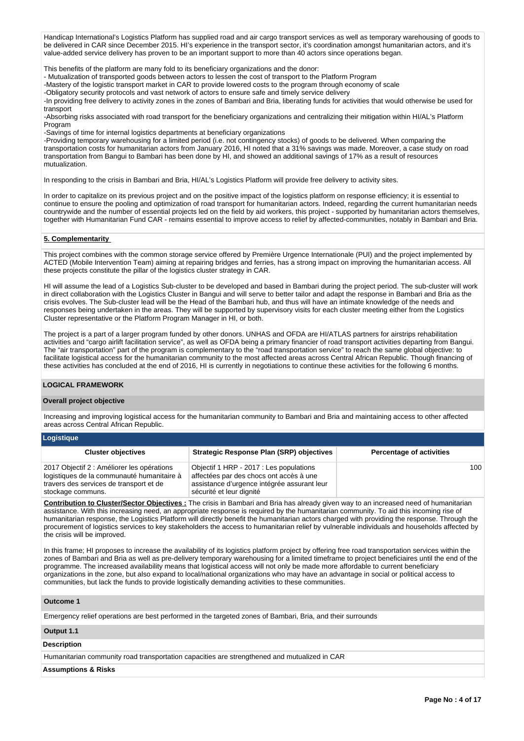Handicap International's Logistics Platform has supplied road and air cargo transport services as well as temporary warehousing of goods to be delivered in CAR since December 2015. HI's experience in the transport sector, it's coordination amongst humanitarian actors, and it's value-added service delivery has proven to be an important support to more than 40 actors since operations began.

This benefits of the platform are many fold to its beneficiary organizations and the donor:

- Mutualization of transported goods between actors to lessen the cost of transport to the Platform Program

-Mastery of the logistic transport market in CAR to provide lowered costs to the program through economy of scale

-Obligatory security protocols and vast network of actors to ensure safe and timely service delivery

-In providing free delivery to activity zones in the zones of Bambari and Bria, liberating funds for activities that would otherwise be used for transport

-Absorbing risks associated with road transport for the beneficiary organizations and centralizing their mitigation within HI/AL's Platform Program

-Savings of time for internal logistics departments at beneficiary organizations

-Providing temporary warehousing for a limited period (i.e. not contingency stocks) of goods to be delivered. When comparing the transportation costs for humanitarian actors from January 2016, HI noted that a 31% savings was made. Moreover, a case study on road transportation from Bangui to Bambari has been done by HI, and showed an additional savings of 17% as a result of resources mutualization.

In responding to the crisis in Bambari and Bria, HI/AL's Logistics Platform will provide free delivery to activity sites.

In order to capitalize on its previous project and on the positive impact of the logistics platform on response efficiency; it is essential to continue to ensure the pooling and optimization of road transport for humanitarian actors. Indeed, regarding the current humanitarian needs countrywide and the number of essential projects led on the field by aid workers, this project - supported by humanitarian actors themselves, together with Humanitarian Fund CAR - remains essential to improve access to relief by affected-communities, notably in Bambari and Bria.

## **5. Complementarity**

This project combines with the common storage service offered by Première Urgence Internationale (PUI) and the project implemented by ACTED (Mobile Intervention Team) aiming at repairing bridges and ferries, has a strong impact on improving the humanitarian access. All these projects constitute the pillar of the logistics cluster strategy in CAR.

HI will assume the lead of a Logistics Sub-cluster to be developed and based in Bambari during the project period. The sub-cluster will work in direct collaboration with the Logistics Cluster in Bangui and will serve to better tailor and adapt the response in Bambari and Bria as the crisis evolves. The Sub-cluster lead will be the Head of the Bambari hub, and thus will have an intimate knowledge of the needs and responses being undertaken in the areas. They will be supported by supervisory visits for each cluster meeting either from the Logistics Cluster representative or the Platform Program Manager in HI, or both.

The project is a part of a larger program funded by other donors. UNHAS and OFDA are HI/ATLAS partners for airstrips rehabilitation activities and "cargo airlift facilitation service", as well as OFDA being a primary financier of road transport activities departing from Bangui. The "air transportation" part of the program is complementary to the "road transportation service" to reach the same global objective: to facilitate logistical access for the humanitarian community to the most affected areas across Central African Republic. Though financing of these activities has concluded at the end of 2016, HI is currently in negotiations to continue these activities for the following 6 months.

## **LOGICAL FRAMEWORK**

## **Overall project objective**

Increasing and improving logistical access for the humanitarian community to Bambari and Bria and maintaining access to other affected areas across Central African Republic.

| Logistique                                                                                                                                               |                                                                                                                                                               |                                 |
|----------------------------------------------------------------------------------------------------------------------------------------------------------|---------------------------------------------------------------------------------------------------------------------------------------------------------------|---------------------------------|
| <b>Cluster objectives</b>                                                                                                                                | <b>Strategic Response Plan (SRP) objectives</b>                                                                                                               | <b>Percentage of activities</b> |
| 2017 Objectif 2 : Améliorer les opérations<br>logistiques de la communauté humanitaire à<br>travers des services de transport et de<br>stockage communs. | Objectif 1 HRP - 2017 : Les populations<br>affectées par des chocs ont accès à une<br>assistance d'urgence intégrée assurant leur<br>sécurité et leur dignité | 100                             |

**Contribution to Cluster/Sector Objectives :** The crisis in Bambari and Bria has already given way to an increased need of humanitarian assistance. With this increasing need, an appropriate response is required by the humanitarian community. To aid this incoming rise of humanitarian response, the Logistics Platform will directly benefit the humanitarian actors charged with providing the response. Through the procurement of logistics services to key stakeholders the access to humanitarian relief by vulnerable individuals and households affected by the crisis will be improved.

In this frame; HI proposes to increase the availability of its logistics platform project by offering free road transportation services within the zones of Bambari and Bria as well as pre-delivery temporary warehousing for a limited timeframe to project beneficiaires until the end of the programme. The increased availability means that logistical access will not only be made more affordable to current beneficiary organizations in the zone, but also expand to local/national organizations who may have an advantage in social or political access to communities, but lack the funds to provide logistically demanding activities to these communities.

## **Outcome 1**

Emergency relief operations are best performed in the targeted zones of Bambari, Bria, and their surrounds

## **Output 1.1**

**Description**

Humanitarian community road transportation capacities are strengthened and mutualized in CAR

#### **Assumptions & Risks**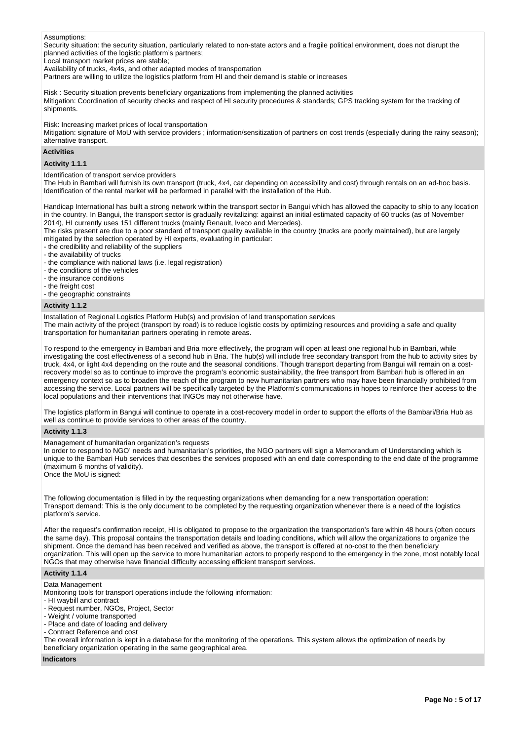#### Assumptions:

Security situation: the security situation, particularly related to non-state actors and a fragile political environment, does not disrupt the planned activities of the logistic platform's partners;

Local transport market prices are stable;

Availability of trucks, 4x4s, and other adapted modes of transportation

Partners are willing to utilize the logistics platform from HI and their demand is stable or increases

Risk : Security situation prevents beneficiary organizations from implementing the planned activities Mitigation: Coordination of security checks and respect of HI security procedures & standards; GPS tracking system for the tracking of shipments.

Risk: Increasing market prices of local transportation

Mitigation: signature of MoU with service providers ; information/sensitization of partners on cost trends (especially during the rainy season); alternative transport.

#### **Activities**

#### **Activity 1.1.1**

Identification of transport service providers

The Hub in Bambari will furnish its own transport (truck, 4x4, car depending on accessibility and cost) through rentals on an ad-hoc basis. Identification of the rental market will be performed in parallel with the installation of the Hub.

Handicap International has built a strong network within the transport sector in Bangui which has allowed the capacity to ship to any location in the country. In Bangui, the transport sector is gradually revitalizing: against an initial estimated capacity of 60 trucks (as of November 2014), HI currently uses 151 different trucks (mainly Renault, Iveco and Mercedes).

The risks present are due to a poor standard of transport quality available in the country (trucks are poorly maintained), but are largely mitigated by the selection operated by HI experts, evaluating in particular:

- the credibility and reliability of the suppliers
- the availability of trucks
- the compliance with national laws (i.e. legal registration)
- the conditions of the vehicles
- the insurance conditions
- the freight cost

### - the geographic constraints

#### **Activity 1.1.2**

Installation of Regional Logistics Platform Hub(s) and provision of land transportation services

The main activity of the project (transport by road) is to reduce logistic costs by optimizing resources and providing a safe and quality transportation for humanitarian partners operating in remote areas.

To respond to the emergency in Bambari and Bria more effectively, the program will open at least one regional hub in Bambari, while investigating the cost effectiveness of a second hub in Bria. The hub(s) will include free secondary transport from the hub to activity sites by truck, 4x4, or light 4x4 depending on the route and the seasonal conditions. Though transport departing from Bangui will remain on a costrecovery model so as to continue to improve the program's economic sustainability, the free transport from Bambari hub is offered in an emergency context so as to broaden the reach of the program to new humanitarian partners who may have been financially prohibited from accessing the service. Local partners will be specifically targeted by the Platform's communications in hopes to reinforce their access to the local populations and their interventions that INGOs may not otherwise have.

The logistics platform in Bangui will continue to operate in a cost-recovery model in order to support the efforts of the Bambari/Bria Hub as well as continue to provide services to other areas of the country.

## **Activity 1.1.3**

Management of humanitarian organization's requests

In order to respond to NGO' needs and humanitarian's priorities, the NGO partners will sign a Memorandum of Understanding which is unique to the Bambari Hub services that describes the services proposed with an end date corresponding to the end date of the programme (maximum 6 months of validity).

Once the MoU is signed:

The following documentation is filled in by the requesting organizations when demanding for a new transportation operation: Transport demand: This is the only document to be completed by the requesting organization whenever there is a need of the logistics platform's service.

After the request's confirmation receipt, HI is obligated to propose to the organization the transportation's fare within 48 hours (often occurs the same day). This proposal contains the transportation details and loading conditions, which will allow the organizations to organize the shipment. Once the demand has been received and verified as above, the transport is offered at no-cost to the then beneficiary organization. This will open up the service to more humanitarian actors to properly respond to the emergency in the zone, most notably local NGOs that may otherwise have financial difficulty accessing efficient transport services.

## **Activity 1.1.4**

Data Management

Monitoring tools for transport operations include the following information:

- HI waybill and contract
- Request number, NGOs, Project, Sector
- Weight / volume transported
- Place and date of loading and delivery
- Contract Reference and cost

The overall information is kept in a database for the monitoring of the operations. This system allows the optimization of needs by beneficiary organization operating in the same geographical area.

## **Indicators**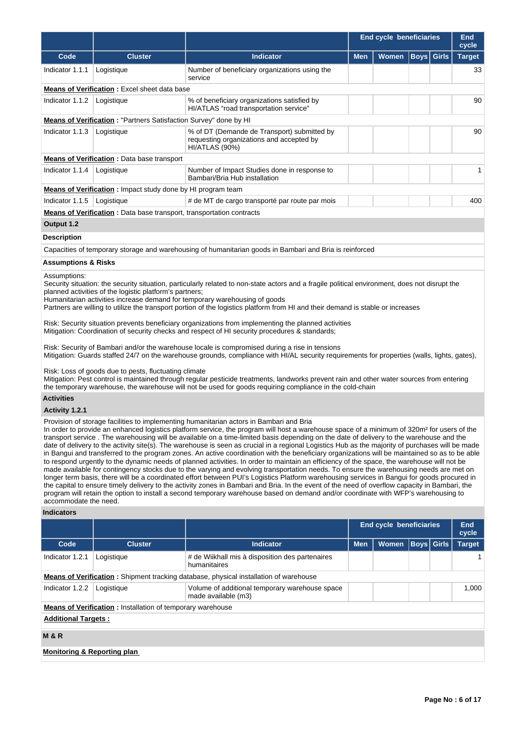|                                                     |                                                                                                                  |                                                                                                                                                                                                                                                                                                                                                                                                                                                                                                                                                                                                                                                                                                                                                                                                                                                                                                                                                                                                                                                                                                                                                                                                                                                                                                                                                                                                                                                                                                                                                                                                                                                                                                                                                                                                                                                                                                                                                                                                                                                                                                                                                                                                                                                                                                                                                                                                                                                                                                                          | <b>End cycle beneficiaries</b> |                         |             |              |               |  |  |  |  |  |
|-----------------------------------------------------|------------------------------------------------------------------------------------------------------------------|--------------------------------------------------------------------------------------------------------------------------------------------------------------------------------------------------------------------------------------------------------------------------------------------------------------------------------------------------------------------------------------------------------------------------------------------------------------------------------------------------------------------------------------------------------------------------------------------------------------------------------------------------------------------------------------------------------------------------------------------------------------------------------------------------------------------------------------------------------------------------------------------------------------------------------------------------------------------------------------------------------------------------------------------------------------------------------------------------------------------------------------------------------------------------------------------------------------------------------------------------------------------------------------------------------------------------------------------------------------------------------------------------------------------------------------------------------------------------------------------------------------------------------------------------------------------------------------------------------------------------------------------------------------------------------------------------------------------------------------------------------------------------------------------------------------------------------------------------------------------------------------------------------------------------------------------------------------------------------------------------------------------------------------------------------------------------------------------------------------------------------------------------------------------------------------------------------------------------------------------------------------------------------------------------------------------------------------------------------------------------------------------------------------------------------------------------------------------------------------------------------------------------|--------------------------------|-------------------------|-------------|--------------|---------------|--|--|--|--|--|
| Code                                                | <b>Cluster</b>                                                                                                   | <b>Indicator</b>                                                                                                                                                                                                                                                                                                                                                                                                                                                                                                                                                                                                                                                                                                                                                                                                                                                                                                                                                                                                                                                                                                                                                                                                                                                                                                                                                                                                                                                                                                                                                                                                                                                                                                                                                                                                                                                                                                                                                                                                                                                                                                                                                                                                                                                                                                                                                                                                                                                                                                         | <b>Men</b>                     | <b>Women</b>            | <b>Boys</b> | <b>Girls</b> | <b>Target</b> |  |  |  |  |  |
| Indicator 1.1.1                                     | Logistique                                                                                                       | Number of beneficiary organizations using the<br>service                                                                                                                                                                                                                                                                                                                                                                                                                                                                                                                                                                                                                                                                                                                                                                                                                                                                                                                                                                                                                                                                                                                                                                                                                                                                                                                                                                                                                                                                                                                                                                                                                                                                                                                                                                                                                                                                                                                                                                                                                                                                                                                                                                                                                                                                                                                                                                                                                                                                 |                                |                         |             |              | 33            |  |  |  |  |  |
|                                                     | <b>Means of Verification:</b> Excel sheet data base                                                              |                                                                                                                                                                                                                                                                                                                                                                                                                                                                                                                                                                                                                                                                                                                                                                                                                                                                                                                                                                                                                                                                                                                                                                                                                                                                                                                                                                                                                                                                                                                                                                                                                                                                                                                                                                                                                                                                                                                                                                                                                                                                                                                                                                                                                                                                                                                                                                                                                                                                                                                          |                                |                         |             |              |               |  |  |  |  |  |
| Indicator 1.1.2                                     | Logistique                                                                                                       | 90<br>% of beneficiary organizations satisfied by<br>HI/ATLAS "road transportation service"                                                                                                                                                                                                                                                                                                                                                                                                                                                                                                                                                                                                                                                                                                                                                                                                                                                                                                                                                                                                                                                                                                                                                                                                                                                                                                                                                                                                                                                                                                                                                                                                                                                                                                                                                                                                                                                                                                                                                                                                                                                                                                                                                                                                                                                                                                                                                                                                                              |                                |                         |             |              |               |  |  |  |  |  |
|                                                     | Means of Verification: "Partners Satisfaction Survey" done by HI                                                 |                                                                                                                                                                                                                                                                                                                                                                                                                                                                                                                                                                                                                                                                                                                                                                                                                                                                                                                                                                                                                                                                                                                                                                                                                                                                                                                                                                                                                                                                                                                                                                                                                                                                                                                                                                                                                                                                                                                                                                                                                                                                                                                                                                                                                                                                                                                                                                                                                                                                                                                          |                                |                         |             |              |               |  |  |  |  |  |
| Indicator 1.1.3                                     | Logistique                                                                                                       | % of DT (Demande de Transport) submitted by<br>requesting organizations and accepted by<br>HI/ATLAS (90%)                                                                                                                                                                                                                                                                                                                                                                                                                                                                                                                                                                                                                                                                                                                                                                                                                                                                                                                                                                                                                                                                                                                                                                                                                                                                                                                                                                                                                                                                                                                                                                                                                                                                                                                                                                                                                                                                                                                                                                                                                                                                                                                                                                                                                                                                                                                                                                                                                |                                |                         | 90          |              |               |  |  |  |  |  |
|                                                     | <b>Means of Verification:</b> Data base transport                                                                |                                                                                                                                                                                                                                                                                                                                                                                                                                                                                                                                                                                                                                                                                                                                                                                                                                                                                                                                                                                                                                                                                                                                                                                                                                                                                                                                                                                                                                                                                                                                                                                                                                                                                                                                                                                                                                                                                                                                                                                                                                                                                                                                                                                                                                                                                                                                                                                                                                                                                                                          |                                |                         |             |              |               |  |  |  |  |  |
| Indicator 1.1.4                                     | Logistique                                                                                                       | Number of Impact Studies done in response to<br>Bambari/Bria Hub installation                                                                                                                                                                                                                                                                                                                                                                                                                                                                                                                                                                                                                                                                                                                                                                                                                                                                                                                                                                                                                                                                                                                                                                                                                                                                                                                                                                                                                                                                                                                                                                                                                                                                                                                                                                                                                                                                                                                                                                                                                                                                                                                                                                                                                                                                                                                                                                                                                                            |                                |                         |             |              | $\mathbf{1}$  |  |  |  |  |  |
|                                                     | <b>Means of Verification:</b> Impact study done by HI program team                                               |                                                                                                                                                                                                                                                                                                                                                                                                                                                                                                                                                                                                                                                                                                                                                                                                                                                                                                                                                                                                                                                                                                                                                                                                                                                                                                                                                                                                                                                                                                                                                                                                                                                                                                                                                                                                                                                                                                                                                                                                                                                                                                                                                                                                                                                                                                                                                                                                                                                                                                                          |                                |                         |             |              |               |  |  |  |  |  |
| Indicator 1.1.5                                     | Logistique                                                                                                       | # de MT de cargo transporté par route par mois                                                                                                                                                                                                                                                                                                                                                                                                                                                                                                                                                                                                                                                                                                                                                                                                                                                                                                                                                                                                                                                                                                                                                                                                                                                                                                                                                                                                                                                                                                                                                                                                                                                                                                                                                                                                                                                                                                                                                                                                                                                                                                                                                                                                                                                                                                                                                                                                                                                                           |                                |                         |             |              | 400           |  |  |  |  |  |
|                                                     | <b>Means of Verification</b> : Data base transport, transportation contracts                                     |                                                                                                                                                                                                                                                                                                                                                                                                                                                                                                                                                                                                                                                                                                                                                                                                                                                                                                                                                                                                                                                                                                                                                                                                                                                                                                                                                                                                                                                                                                                                                                                                                                                                                                                                                                                                                                                                                                                                                                                                                                                                                                                                                                                                                                                                                                                                                                                                                                                                                                                          |                                |                         |             |              |               |  |  |  |  |  |
| Output 1.2                                          |                                                                                                                  |                                                                                                                                                                                                                                                                                                                                                                                                                                                                                                                                                                                                                                                                                                                                                                                                                                                                                                                                                                                                                                                                                                                                                                                                                                                                                                                                                                                                                                                                                                                                                                                                                                                                                                                                                                                                                                                                                                                                                                                                                                                                                                                                                                                                                                                                                                                                                                                                                                                                                                                          |                                |                         |             |              |               |  |  |  |  |  |
| <b>Description</b>                                  |                                                                                                                  |                                                                                                                                                                                                                                                                                                                                                                                                                                                                                                                                                                                                                                                                                                                                                                                                                                                                                                                                                                                                                                                                                                                                                                                                                                                                                                                                                                                                                                                                                                                                                                                                                                                                                                                                                                                                                                                                                                                                                                                                                                                                                                                                                                                                                                                                                                                                                                                                                                                                                                                          |                                |                         |             |              |               |  |  |  |  |  |
|                                                     |                                                                                                                  | Capacities of temporary storage and warehousing of humanitarian goods in Bambari and Bria is reinforced                                                                                                                                                                                                                                                                                                                                                                                                                                                                                                                                                                                                                                                                                                                                                                                                                                                                                                                                                                                                                                                                                                                                                                                                                                                                                                                                                                                                                                                                                                                                                                                                                                                                                                                                                                                                                                                                                                                                                                                                                                                                                                                                                                                                                                                                                                                                                                                                                  |                                |                         |             |              |               |  |  |  |  |  |
| <b>Assumptions &amp; Risks</b>                      |                                                                                                                  |                                                                                                                                                                                                                                                                                                                                                                                                                                                                                                                                                                                                                                                                                                                                                                                                                                                                                                                                                                                                                                                                                                                                                                                                                                                                                                                                                                                                                                                                                                                                                                                                                                                                                                                                                                                                                                                                                                                                                                                                                                                                                                                                                                                                                                                                                                                                                                                                                                                                                                                          |                                |                         |             |              |               |  |  |  |  |  |
| Assumptions:<br><b>Activities</b><br>Activity 1.2.1 | planned activities of the logistic platform's partners;<br>Risk: Loss of goods due to pests, fluctuating climate | Security situation: the security situation, particularly related to non-state actors and a fragile political environment, does not disrupt the<br>Humanitarian activities increase demand for temporary warehousing of goods<br>Partners are willing to utilize the transport portion of the logistics platform from HI and their demand is stable or increases<br>Risk: Security situation prevents beneficiary organizations from implementing the planned activities<br>Mitigation: Coordination of security checks and respect of HI security procedures & standards;<br>Risk: Security of Bambari and/or the warehouse locale is compromised during a rise in tensions<br>Mitigation: Guards staffed 24/7 on the warehouse grounds, compliance with HI/AL security requirements for properties (walls, lights, gates),<br>Mitigation: Pest control is maintained through regular pesticide treatments, landworks prevent rain and other water sources from entering<br>the temporary warehouse, the warehouse will not be used for goods requiring compliance in the cold-chain<br>Provision of storage facilities to implementing humanitarian actors in Bambari and Bria<br>In order to provide an enhanced logistics platform service, the program will host a warehouse space of a minimum of 320m <sup>2</sup> for users of the<br>transport service. The warehousing will be available on a time-limited basis depending on the date of delivery to the warehouse and the<br>date of delivery to the activity site(s). The warehouse is seen as crucial in a regional Logistics Hub as the majority of purchases will be made<br>in Bangui and transferred to the program zones. An active coordination with the beneficiary organizations will be maintained so as to be able<br>to respond urgently to the dynamic needs of planned activities. In order to maintain an efficiency of the space, the warehouse will not be<br>made available for contingency stocks due to the varying and evolving transportation needs. To ensure the warehousing needs are met on<br>longer term basis, there will be a coordinated effort between PUI's Logistics Platform warehousing services in Bangui for goods procured in<br>the capital to ensure timely delivery to the activity zones in Bambari and Bria. In the event of the need of overflow capacity in Bambari, the<br>program will retain the option to install a second temporary warehouse based on demand and/or coordinate with WFP's warehousing to |                                |                         |             |              |               |  |  |  |  |  |
| accommodate the need.<br><b>Indicators</b>          |                                                                                                                  |                                                                                                                                                                                                                                                                                                                                                                                                                                                                                                                                                                                                                                                                                                                                                                                                                                                                                                                                                                                                                                                                                                                                                                                                                                                                                                                                                                                                                                                                                                                                                                                                                                                                                                                                                                                                                                                                                                                                                                                                                                                                                                                                                                                                                                                                                                                                                                                                                                                                                                                          |                                |                         |             |              |               |  |  |  |  |  |
|                                                     |                                                                                                                  |                                                                                                                                                                                                                                                                                                                                                                                                                                                                                                                                                                                                                                                                                                                                                                                                                                                                                                                                                                                                                                                                                                                                                                                                                                                                                                                                                                                                                                                                                                                                                                                                                                                                                                                                                                                                                                                                                                                                                                                                                                                                                                                                                                                                                                                                                                                                                                                                                                                                                                                          |                                | End cycle beneficiaries |             |              | <b>End</b>    |  |  |  |  |  |
|                                                     |                                                                                                                  |                                                                                                                                                                                                                                                                                                                                                                                                                                                                                                                                                                                                                                                                                                                                                                                                                                                                                                                                                                                                                                                                                                                                                                                                                                                                                                                                                                                                                                                                                                                                                                                                                                                                                                                                                                                                                                                                                                                                                                                                                                                                                                                                                                                                                                                                                                                                                                                                                                                                                                                          |                                |                         |             |              | cycle         |  |  |  |  |  |
| Code                                                | <b>Cluster</b>                                                                                                   | <b>Indicator</b>                                                                                                                                                                                                                                                                                                                                                                                                                                                                                                                                                                                                                                                                                                                                                                                                                                                                                                                                                                                                                                                                                                                                                                                                                                                                                                                                                                                                                                                                                                                                                                                                                                                                                                                                                                                                                                                                                                                                                                                                                                                                                                                                                                                                                                                                                                                                                                                                                                                                                                         | Women<br><b>Men</b>            |                         |             |              | <b>Target</b> |  |  |  |  |  |
| Indicator 1.2.1                                     | Logistique                                                                                                       | # de Wiikhall mis à disposition des partenaires<br>humanitaires                                                                                                                                                                                                                                                                                                                                                                                                                                                                                                                                                                                                                                                                                                                                                                                                                                                                                                                                                                                                                                                                                                                                                                                                                                                                                                                                                                                                                                                                                                                                                                                                                                                                                                                                                                                                                                                                                                                                                                                                                                                                                                                                                                                                                                                                                                                                                                                                                                                          |                                |                         |             |              | 1             |  |  |  |  |  |
|                                                     |                                                                                                                  | <b>Means of Verification</b> : Shipment tracking database, physical installation of warehouse                                                                                                                                                                                                                                                                                                                                                                                                                                                                                                                                                                                                                                                                                                                                                                                                                                                                                                                                                                                                                                                                                                                                                                                                                                                                                                                                                                                                                                                                                                                                                                                                                                                                                                                                                                                                                                                                                                                                                                                                                                                                                                                                                                                                                                                                                                                                                                                                                            |                                |                         |             |              |               |  |  |  |  |  |
| Indicator 1.2.2                                     | Logistique                                                                                                       | Volume of additional temporary warehouse space<br>made available (m3)                                                                                                                                                                                                                                                                                                                                                                                                                                                                                                                                                                                                                                                                                                                                                                                                                                                                                                                                                                                                                                                                                                                                                                                                                                                                                                                                                                                                                                                                                                                                                                                                                                                                                                                                                                                                                                                                                                                                                                                                                                                                                                                                                                                                                                                                                                                                                                                                                                                    |                                |                         |             |              |               |  |  |  |  |  |

**Means of Verification :** Installation of temporary warehouse

# **Additional Targets :**

## **M & R**

## **Monitoring & Reporting plan**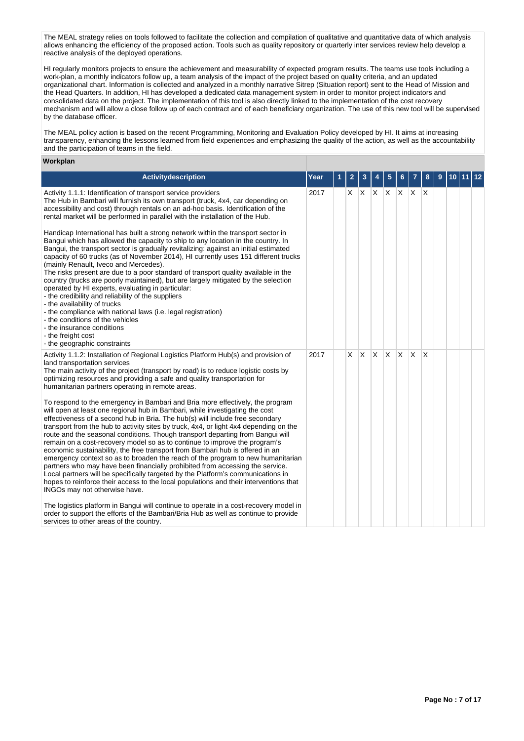The MEAL strategy relies on tools followed to facilitate the collection and compilation of qualitative and quantitative data of which analysis allows enhancing the efficiency of the proposed action. Tools such as quality repository or quarterly inter services review help develop a reactive analysis of the deployed operations.

HI regularly monitors projects to ensure the achievement and measurability of expected program results. The teams use tools including a work-plan, a monthly indicators follow up, a team analysis of the impact of the project based on quality criteria, and an updated organizational chart. Information is collected and analyzed in a monthly narrative Sitrep (Situation report) sent to the Head of Mission and the Head Quarters. In addition, HI has developed a dedicated data management system in order to monitor project indicators and consolidated data on the project. The implementation of this tool is also directly linked to the implementation of the cost recovery mechanism and will allow a close follow up of each contract and of each beneficiary organization. The use of this new tool will be supervised by the database officer.

The MEAL policy action is based on the recent Programming, Monitoring and Evaluation Policy developed by HI. It aims at increasing transparency, enhancing the lessons learned from field experiences and emphasizing the quality of the action, as well as the accountability and the participation of teams in the field.

## **Workplan**

| Activitydescription                                                                                                                                                                                                                                                                                                                                                                                                                                                                                                                                                                                                                                                                                                                                                                                                                                                                                                                                                        | Year | 2 |              |              | 5            |              |              | 8            | 9 | 10 | 12 |
|----------------------------------------------------------------------------------------------------------------------------------------------------------------------------------------------------------------------------------------------------------------------------------------------------------------------------------------------------------------------------------------------------------------------------------------------------------------------------------------------------------------------------------------------------------------------------------------------------------------------------------------------------------------------------------------------------------------------------------------------------------------------------------------------------------------------------------------------------------------------------------------------------------------------------------------------------------------------------|------|---|--------------|--------------|--------------|--------------|--------------|--------------|---|----|----|
| Activity 1.1.1: Identification of transport service providers<br>The Hub in Bambari will furnish its own transport (truck, 4x4, car depending on<br>accessibility and cost) through rentals on an ad-hoc basis. Identification of the<br>rental market will be performed in parallel with the installation of the Hub.                                                                                                                                                                                                                                                                                                                                                                                                                                                                                                                                                                                                                                                     | 2017 | X | $\mathsf{X}$ | $X$ $X$      |              | $\mathsf{X}$ | $\mathsf{X}$ | $\mathsf{X}$ |   |    |    |
| Handicap International has built a strong network within the transport sector in<br>Bangui which has allowed the capacity to ship to any location in the country. In<br>Bangui, the transport sector is gradually revitalizing: against an initial estimated<br>capacity of 60 trucks (as of November 2014), HI currently uses 151 different trucks<br>(mainly Renault, Iveco and Mercedes).<br>The risks present are due to a poor standard of transport quality available in the<br>country (trucks are poorly maintained), but are largely mitigated by the selection<br>operated by HI experts, evaluating in particular:<br>- the credibility and reliability of the suppliers<br>- the availability of trucks<br>- the compliance with national laws (i.e. legal registration)<br>- the conditions of the vehicles<br>- the insurance conditions<br>- the freight cost<br>- the geographic constraints                                                               |      |   |              |              |              |              |              |              |   |    |    |
| Activity 1.1.2: Installation of Regional Logistics Platform Hub(s) and provision of<br>land transportation services<br>The main activity of the project (transport by road) is to reduce logistic costs by<br>optimizing resources and providing a safe and quality transportation for<br>humanitarian partners operating in remote areas.                                                                                                                                                                                                                                                                                                                                                                                                                                                                                                                                                                                                                                 | 2017 | X | IX.          | $\mathsf{X}$ | <sup>X</sup> | <b>X</b>     | ΙX.          | X            |   |    |    |
| To respond to the emergency in Bambari and Bria more effectively, the program<br>will open at least one regional hub in Bambari, while investigating the cost<br>effectiveness of a second hub in Bria. The hub(s) will include free secondary<br>transport from the hub to activity sites by truck, 4x4, or light 4x4 depending on the<br>route and the seasonal conditions. Though transport departing from Bangui will<br>remain on a cost-recovery model so as to continue to improve the program's<br>economic sustainability, the free transport from Bambari hub is offered in an<br>emergency context so as to broaden the reach of the program to new humanitarian<br>partners who may have been financially prohibited from accessing the service.<br>Local partners will be specifically targeted by the Platform's communications in<br>hopes to reinforce their access to the local populations and their interventions that<br>INGOs may not otherwise have. |      |   |              |              |              |              |              |              |   |    |    |
| The logistics platform in Bangui will continue to operate in a cost-recovery model in<br>order to support the efforts of the Bambari/Bria Hub as well as continue to provide<br>services to other areas of the country.                                                                                                                                                                                                                                                                                                                                                                                                                                                                                                                                                                                                                                                                                                                                                    |      |   |              |              |              |              |              |              |   |    |    |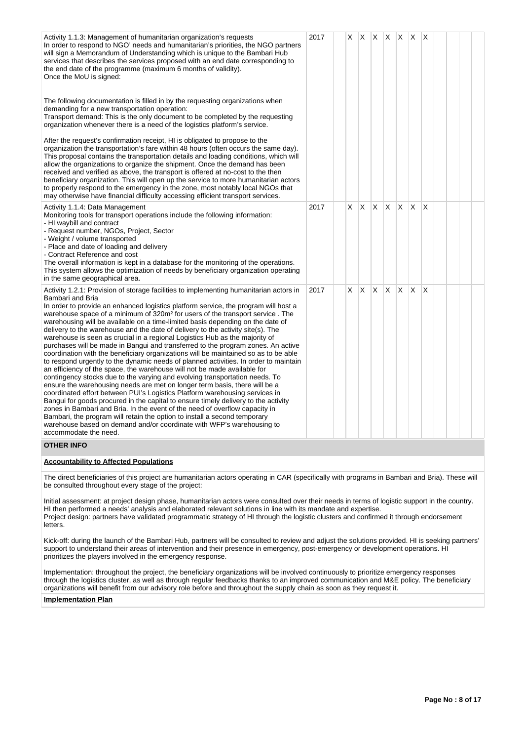| Activity 1.1.3: Management of humanitarian organization's requests<br>In order to respond to NGO' needs and humanitarian's priorities, the NGO partners<br>will sign a Memorandum of Understanding which is unique to the Bambari Hub<br>services that describes the services proposed with an end date corresponding to<br>the end date of the programme (maximum 6 months of validity).<br>Once the MoU is signed:                                                                                                                                                                                                                                                                                                                                                                                                                                                                                                                                                                                                                                                                                                                                                                                                                                                                                                                                                                                                                                                                              | 2017 | $X$ $X$ $X$ $X$ $X$ |    |    |              |    | ΙX |  |  |
|---------------------------------------------------------------------------------------------------------------------------------------------------------------------------------------------------------------------------------------------------------------------------------------------------------------------------------------------------------------------------------------------------------------------------------------------------------------------------------------------------------------------------------------------------------------------------------------------------------------------------------------------------------------------------------------------------------------------------------------------------------------------------------------------------------------------------------------------------------------------------------------------------------------------------------------------------------------------------------------------------------------------------------------------------------------------------------------------------------------------------------------------------------------------------------------------------------------------------------------------------------------------------------------------------------------------------------------------------------------------------------------------------------------------------------------------------------------------------------------------------|------|---------------------|----|----|--------------|----|----|--|--|
| The following documentation is filled in by the requesting organizations when<br>demanding for a new transportation operation:<br>Transport demand: This is the only document to be completed by the requesting<br>organization whenever there is a need of the logistics platform's service.                                                                                                                                                                                                                                                                                                                                                                                                                                                                                                                                                                                                                                                                                                                                                                                                                                                                                                                                                                                                                                                                                                                                                                                                     |      |                     |    |    |              |    |    |  |  |
| After the request's confirmation receipt, HI is obligated to propose to the<br>organization the transportation's fare within 48 hours (often occurs the same day).<br>This proposal contains the transportation details and loading conditions, which will<br>allow the organizations to organize the shipment. Once the demand has been<br>received and verified as above, the transport is offered at no-cost to the then<br>beneficiary organization. This will open up the service to more humanitarian actors<br>to properly respond to the emergency in the zone, most notably local NGOs that<br>may otherwise have financial difficulty accessing efficient transport services.                                                                                                                                                                                                                                                                                                                                                                                                                                                                                                                                                                                                                                                                                                                                                                                                           |      |                     |    |    |              |    |    |  |  |
| Activity 1.1.4: Data Management<br>Monitoring tools for transport operations include the following information:<br>- HI waybill and contract<br>- Request number, NGOs, Project, Sector<br>- Weight / volume transported<br>- Place and date of loading and delivery<br>- Contract Reference and cost<br>The overall information is kept in a database for the monitoring of the operations.<br>This system allows the optimization of needs by beneficiary organization operating<br>in the same geographical area.                                                                                                                                                                                                                                                                                                                                                                                                                                                                                                                                                                                                                                                                                                                                                                                                                                                                                                                                                                              | 2017 | IX.<br>X.           | X. | X  | X.           | X. | X  |  |  |
| Activity 1.2.1: Provision of storage facilities to implementing humanitarian actors in<br>Bambari and Bria<br>In order to provide an enhanced logistics platform service, the program will host a<br>warehouse space of a minimum of 320m <sup>2</sup> for users of the transport service. The<br>warehousing will be available on a time-limited basis depending on the date of<br>delivery to the warehouse and the date of delivery to the activity site(s). The<br>warehouse is seen as crucial in a regional Logistics Hub as the majority of<br>purchases will be made in Bangui and transferred to the program zones. An active<br>coordination with the beneficiary organizations will be maintained so as to be able<br>to respond urgently to the dynamic needs of planned activities. In order to maintain<br>an efficiency of the space, the warehouse will not be made available for<br>contingency stocks due to the varying and evolving transportation needs. To<br>ensure the warehousing needs are met on longer term basis, there will be a<br>coordinated effort between PUI's Logistics Platform warehousing services in<br>Bangui for goods procured in the capital to ensure timely delivery to the activity<br>zones in Bambari and Bria. In the event of the need of overflow capacity in<br>Bambari, the program will retain the option to install a second temporary<br>warehouse based on demand and/or coordinate with WFP's warehousing to<br>accommodate the need. | 2017 | $\mathsf{X}$<br>X.  | X  | X. | $\mathsf{X}$ | X  | X  |  |  |
| <b>OTHER INFO</b>                                                                                                                                                                                                                                                                                                                                                                                                                                                                                                                                                                                                                                                                                                                                                                                                                                                                                                                                                                                                                                                                                                                                                                                                                                                                                                                                                                                                                                                                                 |      |                     |    |    |              |    |    |  |  |
| <b>Accountability to Affected Populations</b>                                                                                                                                                                                                                                                                                                                                                                                                                                                                                                                                                                                                                                                                                                                                                                                                                                                                                                                                                                                                                                                                                                                                                                                                                                                                                                                                                                                                                                                     |      |                     |    |    |              |    |    |  |  |
| The direct beneficiaries of this project are humanitarian actors operating in CAR (specifically with programs in Bambari and Bria). These will<br>be consulted throughout every stage of the project:                                                                                                                                                                                                                                                                                                                                                                                                                                                                                                                                                                                                                                                                                                                                                                                                                                                                                                                                                                                                                                                                                                                                                                                                                                                                                             |      |                     |    |    |              |    |    |  |  |
| Initial assessment: at project design phase, humanitarian actors were consulted over their needs in terms of logistic support in the country.<br>HI then performed a needs' analysis and elaborated relevant solutions in line with its mandate and expertise.<br>Project design: partners have validated programmatic strategy of HI through the logistic clusters and confirmed it through endorsement<br>letters.                                                                                                                                                                                                                                                                                                                                                                                                                                                                                                                                                                                                                                                                                                                                                                                                                                                                                                                                                                                                                                                                              |      |                     |    |    |              |    |    |  |  |
| Kick-off: during the launch of the Bambari Hub, partners will be consulted to review and adjust the solutions provided. HI is seeking partners'<br>support to understand their areas of intervention and their presence in emergency, post-emergency or development operations. HI<br>prioritizes the players involved in the emergency response.                                                                                                                                                                                                                                                                                                                                                                                                                                                                                                                                                                                                                                                                                                                                                                                                                                                                                                                                                                                                                                                                                                                                                 |      |                     |    |    |              |    |    |  |  |

Implementation: throughout the project, the beneficiary organizations will be involved continuously to prioritize emergency responses through the logistics cluster, as well as through regular feedbacks thanks to an improved communication and M&E policy. The beneficiary organizations will benefit from our advisory role before and throughout the supply chain as soon as they request it.

**Implementation Plan**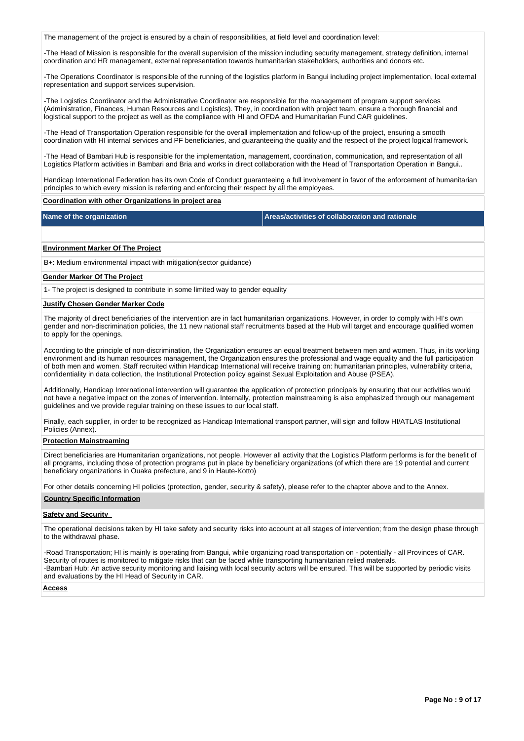The management of the project is ensured by a chain of responsibilities, at field level and coordination level:

-The Head of Mission is responsible for the overall supervision of the mission including security management, strategy definition, internal coordination and HR management, external representation towards humanitarian stakeholders, authorities and donors etc.

-The Operations Coordinator is responsible of the running of the logistics platform in Bangui including project implementation, local external representation and support services supervision.

-The Logistics Coordinator and the Administrative Coordinator are responsible for the management of program support services (Administration, Finances, Human Resources and Logistics). They, in coordination with project team, ensure a thorough financial and logistical support to the project as well as the compliance with HI and OFDA and Humanitarian Fund CAR guidelines.

-The Head of Transportation Operation responsible for the overall implementation and follow-up of the project, ensuring a smooth coordination with HI internal services and PF beneficiaries, and guaranteeing the quality and the respect of the project logical framework.

-The Head of Bambari Hub is responsible for the implementation, management, coordination, communication, and representation of all Logistics Platform activities in Bambari and Bria and works in direct collaboration with the Head of Transportation Operation in Bangui..

Handicap International Federation has its own Code of Conduct guaranteeing a full involvement in favor of the enforcement of humanitarian principles to which every mission is referring and enforcing their respect by all the employees.

## **Coordination with other Organizations in project area**

**Name of the organization Areas/activities of collaboration and rationale** 

### **Environment Marker Of The Project**

B+: Medium environmental impact with mitigation(sector guidance)

## **Gender Marker Of The Project**

1- The project is designed to contribute in some limited way to gender equality

## **Justify Chosen Gender Marker Code**

The majority of direct beneficiaries of the intervention are in fact humanitarian organizations. However, in order to comply with HI's own gender and non-discrimination policies, the 11 new national staff recruitments based at the Hub will target and encourage qualified women to apply for the openings.

According to the principle of non-discrimination, the Organization ensures an equal treatment between men and women. Thus, in its working environment and its human resources management, the Organization ensures the professional and wage equality and the full participation of both men and women. Staff recruited within Handicap International will receive training on: humanitarian principles, vulnerability criteria, confidentiality in data collection, the Institutional Protection policy against Sexual Exploitation and Abuse (PSEA).

Additionally, Handicap International intervention will guarantee the application of protection principals by ensuring that our activities would not have a negative impact on the zones of intervention. Internally, protection mainstreaming is also emphasized through our management guidelines and we provide regular training on these issues to our local staff.

Finally, each supplier, in order to be recognized as Handicap International transport partner, will sign and follow HI/ATLAS Institutional Policies (Annex).

## **Protection Mainstreaming**

Direct beneficiaries are Humanitarian organizations, not people. However all activity that the Logistics Platform performs is for the benefit of all programs, including those of protection programs put in place by beneficiary organizations (of which there are 19 potential and current beneficiary organizations in Ouaka prefecture, and 9 in Haute-Kotto)

For other details concerning HI policies (protection, gender, security & safety), please refer to the chapter above and to the Annex.

#### **Country Specific Information**

#### **Safety and Security**

The operational decisions taken by HI take safety and security risks into account at all stages of intervention; from the design phase through to the withdrawal phase.

-Road Transportation; HI is mainly is operating from Bangui, while organizing road transportation on - potentially - all Provinces of CAR. Security of routes is monitored to mitigate risks that can be faced while transporting humanitarian relied materials. -Bambari Hub: An active security monitoring and liaising with local security actors will be ensured. This will be supported by periodic visits and evaluations by the HI Head of Security in CAR.

#### **Access**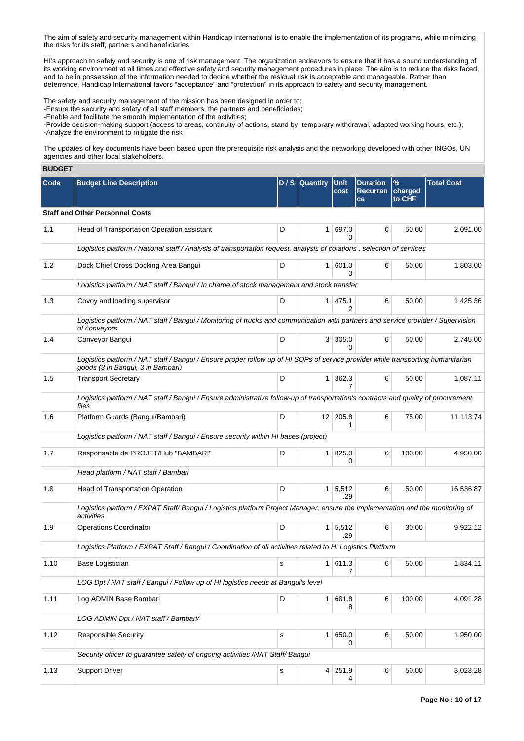The aim of safety and security management within Handicap International is to enable the implementation of its programs, while minimizing the risks for its staff, partners and beneficiaries.

HI's approach to safety and security is one of risk management. The organization endeavors to ensure that it has a sound understanding of its working environment at all times and effective safety and security management procedures in place. The aim is to reduce the risks faced, and to be in possession of the information needed to decide whether the residual risk is acceptable and manageable. Rather than deterrence, Handicap International favors "acceptance" and "protection" in its approach to safety and security management.

The safety and security management of the mission has been designed in order to: -Ensure the security and safety of all staff members, the partners and beneficiaries; -Enable and facilitate the smooth implementation of the activities; -Provide decision-making support (access to areas, continuity of actions, stand by, temporary withdrawal, adapted working hours, etc.);

-Analyze the environment to mitigate the risk

The updates of key documents have been based upon the prerequisite risk analysis and the networking developed with other INGOs, UN agencies and other local stakeholders.

## **BUDGET**

| Code | <b>Budget Line Description</b>                                                                                                                                        |              | D / S Quantity | <b>Unit</b><br>cost       | <b>Duration</b><br><b>Recurran</b><br>ce | $\%$<br>charged<br>to CHF | <b>Total Cost</b> |
|------|-----------------------------------------------------------------------------------------------------------------------------------------------------------------------|--------------|----------------|---------------------------|------------------------------------------|---------------------------|-------------------|
|      | <b>Staff and Other Personnel Costs</b>                                                                                                                                |              |                |                           |                                          |                           |                   |
| 1.1  | Head of Transportation Operation assistant                                                                                                                            | D            |                | 1   697.0<br>0            | 6                                        | 50.00                     | 2,091.00          |
|      | Logistics platform / National staff / Analysis of transportation request, analysis of cotations, selection of services                                                |              |                |                           |                                          |                           |                   |
| 1.2  | Dock Chief Cross Docking Area Bangui                                                                                                                                  | D            |                | 1   601.0<br><sup>0</sup> | 6                                        | 50.00                     | 1,803.00          |
|      | Logistics platform / NAT staff / Bangui / In charge of stock management and stock transfer                                                                            |              |                |                           |                                          |                           |                   |
| 1.3  | Covoy and loading supervisor                                                                                                                                          | D            |                | $1 \mid 475.1$<br>2       | 6                                        | 50.00                     | 1,425.36          |
|      | Logistics platform / NAT staff / Bangui / Monitoring of trucks and communication with partners and service provider / Supervision<br>of conveyors                     |              |                |                           |                                          |                           |                   |
| 1.4  | Conveyor Bangui                                                                                                                                                       | D            |                | 3   305.0<br>0            | 6                                        | 50.00                     | 2,745.00          |
|      | Logistics platform / NAT staff / Bangui / Ensure proper follow up of HI SOPs of service provider while transporting humanitarian<br>goods (3 in Bangui, 3 in Bambari) |              |                |                           |                                          |                           |                   |
| 1.5  | <b>Transport Secretary</b>                                                                                                                                            | D            | 1 <sup>1</sup> | 362.3<br>7                | 6                                        | 50.00                     | 1,087.11          |
|      | Logistics platform / NAT staff / Bangui / Ensure administrative follow-up of transportation's contracts and quality of procurement<br>files                           |              |                |                           |                                          |                           |                   |
| 1.6  | Platform Guards (Bangui/Bambari)                                                                                                                                      | D            |                | 12 205.8<br>1             | 6                                        | 75.00                     | 11,113.74         |
|      | Logistics platform / NAT staff / Bangui / Ensure security within HI bases (project)                                                                                   |              |                |                           |                                          |                           |                   |
| 1.7  | Responsable de PROJET/Hub "BAMBARI"                                                                                                                                   | D            | 1 <sup>1</sup> | 825.0<br>0                | 6                                        | 100.00                    | 4,950.00          |
|      | Head platform / NAT staff / Bambari                                                                                                                                   |              |                |                           |                                          |                           |                   |
| 1.8  | Head of Transportation Operation                                                                                                                                      | D            |                | $1 \mid 5,512$<br>.29     | 6                                        | 50.00                     | 16,536.87         |
|      | Logistics platform / EXPAT Staff/Bangui / Logistics platform Project Manager; ensure the implementation and the monitoring of<br>activities                           |              |                |                           |                                          |                           |                   |
| 1.9  | <b>Operations Coordinator</b>                                                                                                                                         | D            |                | $1 \mid 5,512$<br>.29     | 6                                        | 30.00                     | 9,922.12          |
|      | Logistics Platform / EXPAT Staff / Bangui / Coordination of all activities related to HI Logistics Platform                                                           |              |                |                           |                                          |                           |                   |
| 1.10 | Base Logistician                                                                                                                                                      | S            |                | 1 611.3<br>7              | 6                                        | 50.00                     | 1,834.11          |
|      | LOG Dpt / NAT staff / Bangui / Follow up of HI logistics needs at Bangui's level                                                                                      |              |                |                           |                                          |                           |                   |
| 1.11 | Log ADMIN Base Bambari                                                                                                                                                | D            |                | 1 681.8<br>8              | 6                                        | 100.00                    | 4,091.28          |
|      | LOG ADMIN Dpt / NAT staff / Bambari/                                                                                                                                  |              |                |                           |                                          |                           |                   |
| 1.12 | <b>Responsible Security</b>                                                                                                                                           | s            |                | 1 650.0<br>0              | 6                                        | 50.00                     | 1,950.00          |
|      | Security officer to guarantee safety of ongoing activities /NAT Staff/ Bangui                                                                                         |              |                |                           |                                          |                           |                   |
| 1.13 | <b>Support Driver</b>                                                                                                                                                 | $\mathsf{s}$ |                | 4 251.9<br>4              | 6                                        | 50.00                     | 3,023.28          |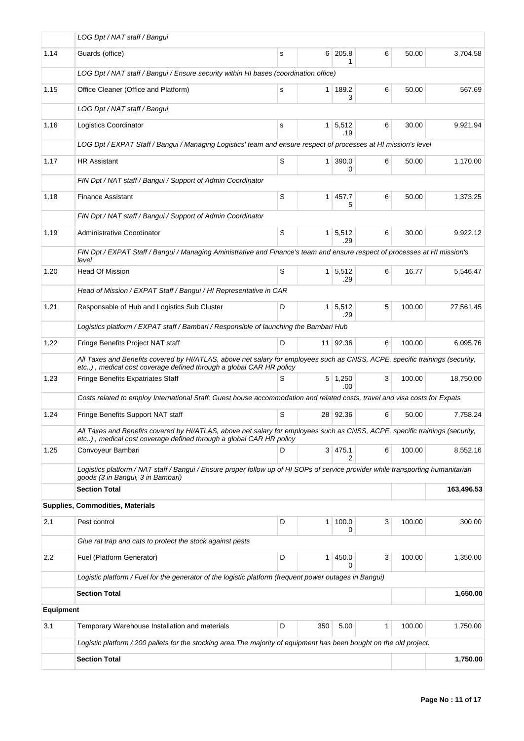|                  | LOG Dpt / NAT staff / Bangui                                                                                                                                                                       |   |                |                             |   |        |            |
|------------------|----------------------------------------------------------------------------------------------------------------------------------------------------------------------------------------------------|---|----------------|-----------------------------|---|--------|------------|
| 1.14             | Guards (office)                                                                                                                                                                                    | s | 6 <sup>1</sup> | 205.8<br>1                  | 6 | 50.00  | 3,704.58   |
|                  | LOG Dpt / NAT staff / Bangui / Ensure security within HI bases (coordination office)                                                                                                               |   |                |                             |   |        |            |
| 1.15             | Office Cleaner (Office and Platform)                                                                                                                                                               | s | 1 <sup>1</sup> | 189.2<br>3                  | 6 | 50.00  | 567.69     |
|                  | LOG Dpt / NAT staff / Bangui                                                                                                                                                                       |   |                |                             |   |        |            |
| 1.16             | <b>Logistics Coordinator</b>                                                                                                                                                                       | s | 1 <sup>1</sup> | 5,512<br>.19                | 6 | 30.00  | 9,921.94   |
|                  | LOG Dpt / EXPAT Staff / Bangui / Managing Logistics' team and ensure respect of processes at HI mission's level                                                                                    |   |                |                             |   |        |            |
| 1.17             | <b>HR Assistant</b>                                                                                                                                                                                | S | 1 <sup>1</sup> | 390.0<br>0                  | 6 | 50.00  | 1,170.00   |
|                  | FIN Dpt / NAT staff / Bangui / Support of Admin Coordinator                                                                                                                                        |   |                |                             |   |        |            |
| 1.18             | <b>Finance Assistant</b>                                                                                                                                                                           | S | 1              | 457.7<br>5                  | 6 | 50.00  | 1,373.25   |
|                  | FIN Dpt / NAT staff / Bangui / Support of Admin Coordinator                                                                                                                                        |   |                |                             |   |        |            |
| 1.19             | <b>Administrative Coordinator</b>                                                                                                                                                                  | S |                | $1 \overline{5,512}$<br>.29 | 6 | 30.00  | 9,922.12   |
|                  | FIN Dpt / EXPAT Staff / Bangui / Managing Aministrative and Finance's team and ensure respect of processes at HI mission's<br>level                                                                |   |                |                             |   |        |            |
| 1.20             | <b>Head Of Mission</b>                                                                                                                                                                             | S | 1 <sup>1</sup> | 5,512<br>.29                | 6 | 16.77  | 5,546.47   |
|                  | Head of Mission / EXPAT Staff / Bangui / HI Representative in CAR                                                                                                                                  |   |                |                             |   |        |            |
| 1.21             | Responsable of Hub and Logistics Sub Cluster                                                                                                                                                       | D |                | $1 \mid 5,512$<br>.29       | 5 | 100.00 | 27,561.45  |
|                  | Logistics platform / EXPAT staff / Bambari / Responsible of launching the Bambari Hub                                                                                                              |   |                |                             |   |        |            |
| 1.22             | Fringe Benefits Project NAT staff                                                                                                                                                                  | D |                | 11 92.36                    | 6 | 100.00 | 6,095.76   |
|                  | All Taxes and Benefits covered by HI/ATLAS, above net salary for employees such as CNSS, ACPE, specific trainings (security,<br>etc), medical cost coverage defined through a global CAR HR policy |   |                |                             |   |        |            |
| 1.23             | Fringe Benefits Expatriates Staff                                                                                                                                                                  | S |                | $5 \mid 1,250$<br>.00.      | 3 | 100.00 | 18,750.00  |
|                  | Costs related to employ International Staff: Guest house accommodation and related costs, travel and visa costs for Expats                                                                         |   |                |                             |   |        |            |
| 1.24             | Fringe Benefits Support NAT staff                                                                                                                                                                  | S |                | 28 92.36                    | 6 | 50.00  | 7,758.24   |
|                  | All Taxes and Benefits covered by HI/ATLAS, above net salary for employees such as CNSS, ACPE, specific trainings (security,<br>etc), medical cost coverage defined through a global CAR HR policy |   |                |                             |   |        |            |
| 1.25             | Convoyeur Bambari                                                                                                                                                                                  | D |                | 3   475.1<br>2              | 6 | 100.00 | 8,552.16   |
|                  | Logistics platform / NAT staff / Bangui / Ensure proper follow up of HI SOPs of service provider while transporting humanitarian<br>goods (3 in Bangui, 3 in Bambari)                              |   |                |                             |   |        |            |
|                  | <b>Section Total</b>                                                                                                                                                                               |   |                |                             |   |        | 163,496.53 |
|                  | Supplies, Commodities, Materials                                                                                                                                                                   |   |                |                             |   |        |            |
| 2.1              | Pest control                                                                                                                                                                                       | D | 1 <sup>1</sup> | 100.0<br>0                  | 3 | 100.00 | 300.00     |
|                  | Glue rat trap and cats to protect the stock against pests                                                                                                                                          |   |                |                             |   |        |            |
| 2.2              | Fuel (Platform Generator)                                                                                                                                                                          | D | $\mathbf{1}$   | 450.0<br>0                  | 3 | 100.00 | 1,350.00   |
|                  | Logistic platform / Fuel for the generator of the logistic platform (frequent power outages in Bangui)                                                                                             |   |                |                             |   |        |            |
|                  | <b>Section Total</b>                                                                                                                                                                               |   |                |                             |   |        | 1,650.00   |
| <b>Equipment</b> |                                                                                                                                                                                                    |   |                |                             |   |        |            |
| 3.1              | Temporary Warehouse Installation and materials                                                                                                                                                     | D | 350            | 5.00                        | 1 | 100.00 | 1,750.00   |
|                  | Logistic platform / 200 pallets for the stocking area. The majority of equipment has been bought on the old project.                                                                               |   |                |                             |   |        |            |
|                  | <b>Section Total</b>                                                                                                                                                                               |   |                |                             |   |        | 1,750.00   |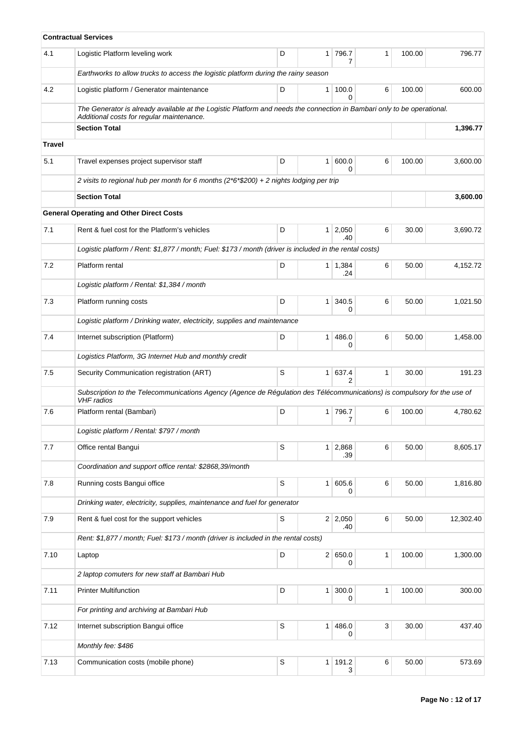|               | <b>Contractual Services</b>                                                                                                                                          |   |                |                       |              |        |           |
|---------------|----------------------------------------------------------------------------------------------------------------------------------------------------------------------|---|----------------|-----------------------|--------------|--------|-----------|
| 4.1           | Logistic Platform leveling work                                                                                                                                      | D | 1 <sup>1</sup> | 796.7<br>7            | $\mathbf{1}$ | 100.00 | 796.77    |
|               | Earthworks to allow trucks to access the logistic platform during the rainy season                                                                                   |   |                |                       |              |        |           |
| 4.2           | Logistic platform / Generator maintenance                                                                                                                            | D | $\mathbf{1}$   | 100.0<br>0            | 6            | 100.00 | 600.00    |
|               | The Generator is already available at the Logistic Platform and needs the connection in Bambari only to be operational.<br>Additional costs for regular maintenance. |   |                |                       |              |        |           |
|               | <b>Section Total</b>                                                                                                                                                 |   |                |                       |              |        | 1,396.77  |
| <b>Travel</b> |                                                                                                                                                                      |   |                |                       |              |        |           |
| 5.1           | Travel expenses project supervisor staff                                                                                                                             | D | 1 <sup>1</sup> | 600.0<br>0            | 6            | 100.00 | 3,600.00  |
|               | 2 visits to regional hub per month for 6 months (2*6*\$200) + 2 nights lodging per trip                                                                              |   |                |                       |              |        |           |
|               | <b>Section Total</b>                                                                                                                                                 |   |                |                       |              |        | 3,600.00  |
|               | <b>General Operating and Other Direct Costs</b>                                                                                                                      |   |                |                       |              |        |           |
| 7.1           | Rent & fuel cost for the Platform's vehicles                                                                                                                         | D |                | $1 \mid 2,050$<br>.40 | 6            | 30.00  | 3,690.72  |
|               | Logistic platform / Rent: \$1,877 / month; Fuel: \$173 / month (driver is included in the rental costs)                                                              |   |                |                       |              |        |           |
| 7.2           | Platform rental                                                                                                                                                      | D |                | $1 \mid 1,384$<br>.24 | 6            | 50.00  | 4,152.72  |
|               | Logistic platform / Rental: \$1,384 / month                                                                                                                          |   |                |                       |              |        |           |
| 7.3           | Platform running costs                                                                                                                                               | D | 1 <sup>1</sup> | 340.5<br>0            | 6            | 50.00  | 1,021.50  |
|               | Logistic platform / Drinking water, electricity, supplies and maintenance                                                                                            |   |                |                       |              |        |           |
| 7.4           | Internet subscription (Platform)                                                                                                                                     | D | $\mathbf{1}$   | 486.0<br>0            | 6            | 50.00  | 1,458.00  |
|               | Logistics Platform, 3G Internet Hub and monthly credit                                                                                                               |   |                |                       |              |        |           |
| 7.5           | Security Communication registration (ART)                                                                                                                            | S | 1 <sup>1</sup> | 637.4<br>2            | $\mathbf{1}$ | 30.00  | 191.23    |
|               | Subscription to the Telecommunications Agency (Agence de Régulation des Télécommunications) is compulsory for the use of<br><b>VHF</b> radios                        |   |                |                       |              |        |           |
| 7.6           | Platform rental (Bambari)                                                                                                                                            | D | 1 <sup>1</sup> | 796.7<br>7            | 6            | 100.00 | 4,780.62  |
|               | Logistic platform / Rental: \$797 / month                                                                                                                            |   |                |                       |              |        |           |
| 7.7           | Office rental Bangui                                                                                                                                                 | S | 1 <sup>1</sup> | 2,868<br>.39          | 6            | 50.00  | 8,605.17  |
|               | Coordination and support office rental: \$2868,39/month                                                                                                              |   |                |                       |              |        |           |
| 7.8           | Running costs Bangui office                                                                                                                                          | S | 1 <sup>1</sup> | 605.6<br>0            | 6            | 50.00  | 1,816.80  |
|               | Drinking water, electricity, supplies, maintenance and fuel for generator                                                                                            |   |                |                       |              |        |           |
| 7.9           | Rent & fuel cost for the support vehicles                                                                                                                            | S |                | 2 2,050<br>.40        | 6            | 50.00  | 12,302.40 |
|               | Rent: \$1,877 / month; Fuel: \$173 / month (driver is included in the rental costs)                                                                                  |   |                |                       |              |        |           |
| 7.10          | Laptop                                                                                                                                                               | D | 2              | 650.0<br>0            | 1            | 100.00 | 1,300.00  |
|               | 2 laptop comuters for new staff at Bambari Hub                                                                                                                       |   |                |                       |              |        |           |
| 7.11          | <b>Printer Multifunction</b>                                                                                                                                         | D | 1 <sup>1</sup> | 300.0<br>0            | 1            | 100.00 | 300.00    |
|               | For printing and archiving at Bambari Hub                                                                                                                            |   |                |                       |              |        |           |
| 7.12          | Internet subscription Bangui office                                                                                                                                  | S | 1 <sup>1</sup> | 486.0<br>0            | 3            | 30.00  | 437.40    |
|               | Monthly fee: \$486                                                                                                                                                   |   |                |                       |              |        |           |
| 7.13          | Communication costs (mobile phone)                                                                                                                                   | S | 1 <sup>1</sup> | 191.2<br>3            | 6            | 50.00  | 573.69    |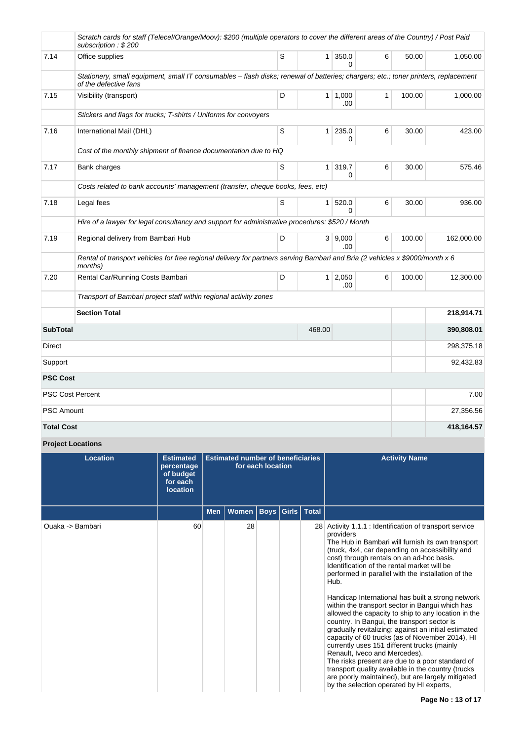|                   | Scratch cards for staff (Telecel/Orange/Moov): \$200 (multiple operators to cover the different areas of the Country) / Post Paid<br>subscription: \$200    |   |              |                       |              |        |            |
|-------------------|-------------------------------------------------------------------------------------------------------------------------------------------------------------|---|--------------|-----------------------|--------------|--------|------------|
| 7.14              | Office supplies                                                                                                                                             | S |              | $1 \mid 350.0$<br>0   | 6            | 50.00  | 1,050.00   |
|                   | Stationery, small equipment, small IT consumables - flash disks; renewal of batteries; chargers; etc.; toner printers, replacement<br>of the defective fans |   |              |                       |              |        |            |
| 7.15              | Visibility (transport)                                                                                                                                      | D |              | $1 \mid 1,000$<br>.00 | $\mathbf{1}$ | 100.00 | 1,000.00   |
|                   | Stickers and flags for trucks; T-shirts / Uniforms for convoyers                                                                                            |   |              |                       |              |        |            |
| 7.16              | International Mail (DHL)                                                                                                                                    | S | $\mathbf{1}$ | 235.0<br>0            | 6            | 30.00  | 423.00     |
|                   | Cost of the monthly shipment of finance documentation due to HQ                                                                                             |   |              |                       |              |        |            |
| 7.17              | Bank charges                                                                                                                                                | S | 1            | 319.7<br>0            | 6            | 30.00  | 575.46     |
|                   | Costs related to bank accounts' management (transfer, cheque books, fees, etc)                                                                              |   |              |                       |              |        |            |
| 7.18              | Legal fees                                                                                                                                                  | S | 1            | 520.0<br>0            | 6            | 30.00  | 936.00     |
|                   | Hire of a lawyer for legal consultancy and support for administrative procedures: \$520 / Month                                                             |   |              |                       |              |        |            |
| 7.19              | Regional delivery from Bambari Hub                                                                                                                          | D |              | 3   9,000<br>.00      | 6            | 100.00 | 162,000.00 |
|                   | Rental of transport vehicles for free regional delivery for partners serving Bambari and Bria (2 vehicles x \$9000/month x 6<br>months)                     |   |              |                       |              |        |            |
| 7.20              | Rental Car/Running Costs Bambari                                                                                                                            | D |              | $1 \mid 2,050$<br>.00 | 6            | 100.00 | 12,300.00  |
|                   | Transport of Bambari project staff within regional activity zones                                                                                           |   |              |                       |              |        |            |
|                   | <b>Section Total</b>                                                                                                                                        |   |              |                       |              |        | 218,914.71 |
| <b>SubTotal</b>   |                                                                                                                                                             |   | 468.00       |                       |              |        | 390,808.01 |
| Direct            |                                                                                                                                                             |   |              |                       |              |        | 298,375.18 |
| Support           |                                                                                                                                                             |   |              |                       |              |        | 92,432.83  |
| <b>PSC Cost</b>   |                                                                                                                                                             |   |              |                       |              |        |            |
|                   | <b>PSC Cost Percent</b>                                                                                                                                     |   |              |                       |              |        | 7.00       |
| <b>PSC Amount</b> |                                                                                                                                                             |   |              |                       |              |        | 27,356.56  |
| <b>Total Cost</b> |                                                                                                                                                             |   |              |                       |              |        | 418,164.57 |

**Project Locations**

| Location         | <b>Estimated</b><br>percentage<br>of budget<br>for each<br><b>location</b> | <b>Estimated number of beneficiaries</b><br>for each location |              |  |  |                      | <b>Activity Name</b>                                                                                                                                                                                                                                                                                                                                                                                                                                                                                                                                                                                                                                                                                                                                                                                                                                                                                                                                      |
|------------------|----------------------------------------------------------------------------|---------------------------------------------------------------|--------------|--|--|----------------------|-----------------------------------------------------------------------------------------------------------------------------------------------------------------------------------------------------------------------------------------------------------------------------------------------------------------------------------------------------------------------------------------------------------------------------------------------------------------------------------------------------------------------------------------------------------------------------------------------------------------------------------------------------------------------------------------------------------------------------------------------------------------------------------------------------------------------------------------------------------------------------------------------------------------------------------------------------------|
|                  |                                                                            | <b>Men</b>                                                    | <b>Women</b> |  |  | Boys   Girls   Total |                                                                                                                                                                                                                                                                                                                                                                                                                                                                                                                                                                                                                                                                                                                                                                                                                                                                                                                                                           |
| Ouaka -> Bambari | 60                                                                         |                                                               | 28           |  |  |                      | 28 Activity 1.1.1 : Identification of transport service<br>providers<br>The Hub in Bambari will furnish its own transport<br>(truck, 4x4, car depending on accessibility and<br>cost) through rentals on an ad-hoc basis.<br>Identification of the rental market will be<br>performed in parallel with the installation of the<br>Hub.<br>Handicap International has built a strong network<br>within the transport sector in Bangui which has<br>allowed the capacity to ship to any location in the<br>country. In Bangui, the transport sector is<br>gradually revitalizing: against an initial estimated<br>capacity of 60 trucks (as of November 2014), HI<br>currently uses 151 different trucks (mainly<br>Renault, Iveco and Mercedes).<br>The risks present are due to a poor standard of<br>transport quality available in the country (trucks<br>are poorly maintained), but are largely mitigated<br>by the selection operated by HI experts, |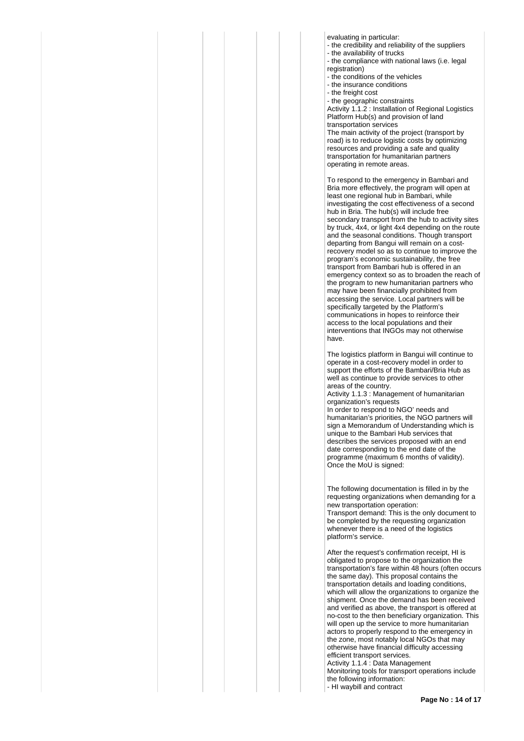evaluating in particular:

- the credibility and reliability of the suppliers - the availability of trucks
- the compliance with national laws (i.e. legal
- registration)
- the conditions of the vehicles
- the insurance conditions
- the freight cost

- the geographic constraints

Activity 1.1.2 : Installation of Regional Logistics Platform Hub(s) and provision of land transportation services

The main activity of the project (transport by road) is to reduce logistic costs by optimizing resources and providing a safe and quality transportation for humanitarian partners operating in remote areas.

To respond to the emergency in Bambari and Bria more effectively, the program will open at least one regional hub in Bambari, while investigating the cost effectiveness of a second hub in Bria. The hub(s) will include free secondary transport from the hub to activity sites by truck, 4x4, or light 4x4 depending on the route and the seasonal conditions. Though transport departing from Bangui will remain on a costrecovery model so as to continue to improve the program's economic sustainability, the free transport from Bambari hub is offered in an emergency context so as to broaden the reach of the program to new humanitarian partners who may have been financially prohibited from accessing the service. Local partners will be specifically targeted by the Platform's communications in hopes to reinforce their access to the local populations and their interventions that INGOs may not otherwise have.

The logistics platform in Bangui will continue to operate in a cost-recovery model in order to support the efforts of the Bambari/Bria Hub as well as continue to provide services to other areas of the country.

Activity 1.1.3 : Management of humanitarian organization's requests

In order to respond to NGO' needs and humanitarian's priorities, the NGO partners will sign a Memorandum of Understanding which is unique to the Bambari Hub services that describes the services proposed with an end date corresponding to the end date of the programme (maximum 6 months of validity). Once the MoU is signed:

The following documentation is filled in by the requesting organizations when demanding for a new transportation operation: Transport demand: This is the only document to be completed by the requesting organization whenever there is a need of the logistics platform's service.

After the request's confirmation receipt, HI is obligated to propose to the organization the transportation's fare within 48 hours (often occurs the same day). This proposal contains the transportation details and loading conditions, which will allow the organizations to organize the shipment. Once the demand has been received and verified as above, the transport is offered at no-cost to the then beneficiary organization. This will open up the service to more humanitarian actors to properly respond to the emergency in the zone, most notably local NGOs that may otherwise have financial difficulty accessing efficient transport services. Activity 1.1.4 : Data Management

Monitoring tools for transport operations include the following information:

- HI waybill and contract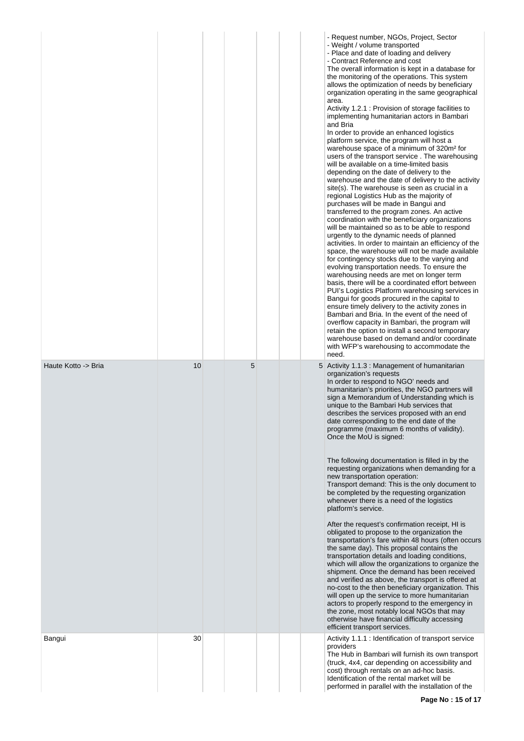|                     |    |   |  | - Request number, NGOs, Project, Sector<br>- Weight / volume transported<br>- Place and date of loading and delivery<br>- Contract Reference and cost<br>The overall information is kept in a database for<br>the monitoring of the operations. This system<br>allows the optimization of needs by beneficiary<br>organization operating in the same geographical<br>area.<br>Activity 1.2.1 : Provision of storage facilities to<br>implementing humanitarian actors in Bambari<br>and Bria<br>In order to provide an enhanced logistics<br>platform service, the program will host a<br>warehouse space of a minimum of 320m <sup>2</sup> for<br>users of the transport service. The warehousing<br>will be available on a time-limited basis<br>depending on the date of delivery to the<br>warehouse and the date of delivery to the activity<br>site(s). The warehouse is seen as crucial in a<br>regional Logistics Hub as the majority of<br>purchases will be made in Bangui and<br>transferred to the program zones. An active<br>coordination with the beneficiary organizations<br>will be maintained so as to be able to respond<br>urgently to the dynamic needs of planned<br>activities. In order to maintain an efficiency of the<br>space, the warehouse will not be made available<br>for contingency stocks due to the varying and<br>evolving transportation needs. To ensure the<br>warehousing needs are met on longer term<br>basis, there will be a coordinated effort between<br>PUI's Logistics Platform warehousing services in<br>Bangui for goods procured in the capital to<br>ensure timely delivery to the activity zones in<br>Bambari and Bria. In the event of the need of<br>overflow capacity in Bambari, the program will<br>retain the option to install a second temporary<br>warehouse based on demand and/or coordinate<br>with WFP's warehousing to accommodate the<br>need. |
|---------------------|----|---|--|-------------------------------------------------------------------------------------------------------------------------------------------------------------------------------------------------------------------------------------------------------------------------------------------------------------------------------------------------------------------------------------------------------------------------------------------------------------------------------------------------------------------------------------------------------------------------------------------------------------------------------------------------------------------------------------------------------------------------------------------------------------------------------------------------------------------------------------------------------------------------------------------------------------------------------------------------------------------------------------------------------------------------------------------------------------------------------------------------------------------------------------------------------------------------------------------------------------------------------------------------------------------------------------------------------------------------------------------------------------------------------------------------------------------------------------------------------------------------------------------------------------------------------------------------------------------------------------------------------------------------------------------------------------------------------------------------------------------------------------------------------------------------------------------------------------------------------------------------------------------------------------------------------------------------|
| Haute Kotto -> Bria | 10 | 5 |  | 5 Activity 1.1.3 : Management of humanitarian<br>organization's requests<br>In order to respond to NGO' needs and<br>humanitarian's priorities, the NGO partners will<br>sign a Memorandum of Understanding which is<br>unique to the Bambari Hub services that<br>describes the services proposed with an end<br>date corresponding to the end date of the<br>programme (maximum 6 months of validity).<br>Once the MoU is signed:<br>The following documentation is filled in by the<br>requesting organizations when demanding for a<br>new transportation operation:<br>Transport demand: This is the only document to<br>be completed by the requesting organization<br>whenever there is a need of the logistics<br>platform's service.<br>After the request's confirmation receipt, HI is<br>obligated to propose to the organization the<br>transportation's fare within 48 hours (often occurs<br>the same day). This proposal contains the<br>transportation details and loading conditions,<br>which will allow the organizations to organize the<br>shipment. Once the demand has been received<br>and verified as above, the transport is offered at<br>no-cost to the then beneficiary organization. This<br>will open up the service to more humanitarian<br>actors to properly respond to the emergency in<br>the zone, most notably local NGOs that may<br>otherwise have financial difficulty accessing<br>efficient transport services.                                                                                                                                                                                                                                                                                                                                                                                                                                                              |
| Bangui              | 30 |   |  | Activity 1.1.1 : Identification of transport service<br>providers<br>The Hub in Bambari will furnish its own transport<br>(truck, 4x4, car depending on accessibility and<br>cost) through rentals on an ad-hoc basis.<br>Identification of the rental market will be<br>performed in parallel with the installation of the                                                                                                                                                                                                                                                                                                                                                                                                                                                                                                                                                                                                                                                                                                                                                                                                                                                                                                                                                                                                                                                                                                                                                                                                                                                                                                                                                                                                                                                                                                                                                                                             |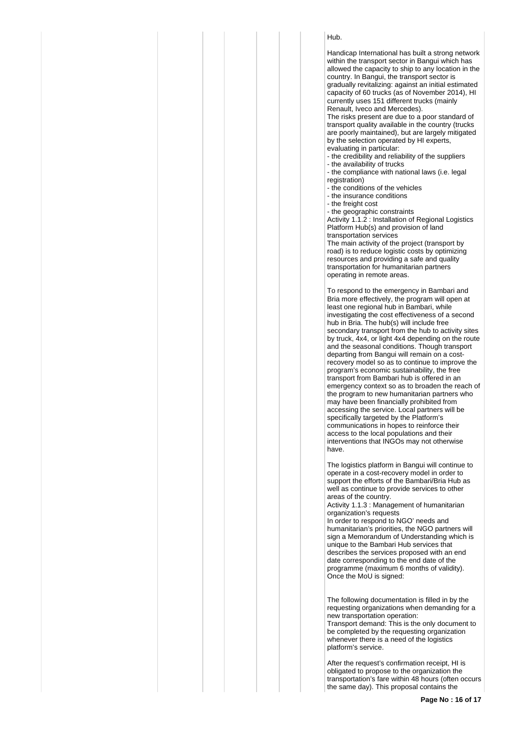## Hub.

Handicap International has built a strong network within the transport sector in Bangui which has allowed the capacity to ship to any location in the country. In Bangui, the transport sector is gradually revitalizing: against an initial estimated capacity of 60 trucks (as of November 2014), HI currently uses 151 different trucks (mainly Renault, Iveco and Mercedes).

The risks present are due to a poor standard of transport quality available in the country (trucks are poorly maintained), but are largely mitigated by the selection operated by HI experts, evaluating in particular:

- the credibility and reliability of the suppliers
- the availability of trucks
- the compliance with national laws (i.e. legal registration)
- the conditions of the vehicles
- the insurance conditions
- the freight cost
- the geographic constraints

Activity 1.1.2 : Installation of Regional Logistics Platform Hub(s) and provision of land transportation services

The main activity of the project (transport by road) is to reduce logistic costs by optimizing resources and providing a safe and quality transportation for humanitarian partners operating in remote areas.

To respond to the emergency in Bambari and Bria more effectively, the program will open at least one regional hub in Bambari, while investigating the cost effectiveness of a second hub in Bria. The hub(s) will include free secondary transport from the hub to activity sites by truck, 4x4, or light 4x4 depending on the route and the seasonal conditions. Though transport departing from Bangui will remain on a costrecovery model so as to continue to improve the program's economic sustainability, the free transport from Bambari hub is offered in an emergency context so as to broaden the reach of the program to new humanitarian partners who may have been financially prohibited from accessing the service. Local partners will be specifically targeted by the Platform's communications in hopes to reinforce their access to the local populations and their interventions that INGOs may not otherwise have.

The logistics platform in Bangui will continue to operate in a cost-recovery model in order to support the efforts of the Bambari/Bria Hub as well as continue to provide services to other areas of the country.

Activity 1.1.3 : Management of humanitarian organization's requests

In order to respond to NGO' needs and humanitarian's priorities, the NGO partners will sign a Memorandum of Understanding which is unique to the Bambari Hub services that describes the services proposed with an end date corresponding to the end date of the programme (maximum 6 months of validity). Once the MoU is signed:

The following documentation is filled in by the requesting organizations when demanding for a new transportation operation: Transport demand: This is the only document to be completed by the requesting organization whenever there is a need of the logistics platform's service.

After the request's confirmation receipt, HI is obligated to propose to the organization the transportation's fare within 48 hours (often occurs the same day). This proposal contains the